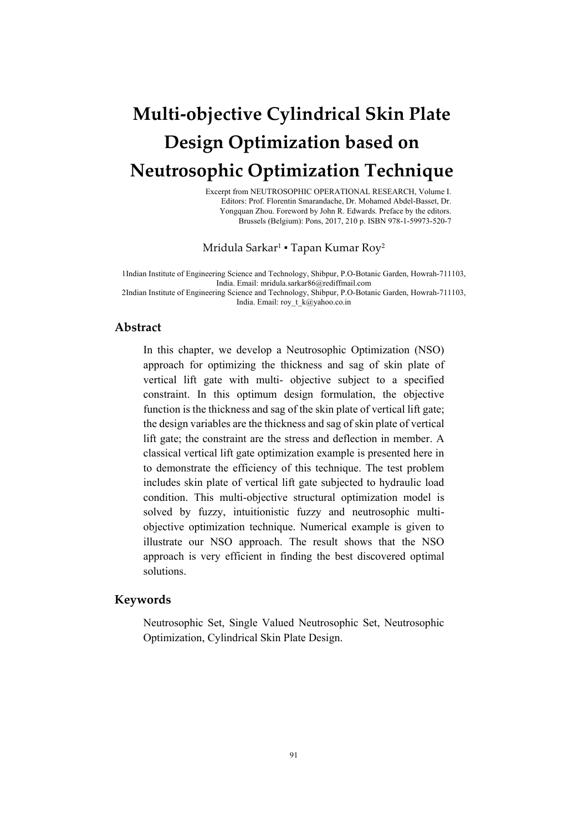# **Multi-objective Cylindrical Skin Plate Design Optimization based on Neutrosophic Optimization Technique**

Excerpt from NEUTROSOPHIC OPERATIONAL RESEARCH, Volume I. Editors: Prof. Florentin Smarandache, Dr. Mohamed Abdel-Basset, Dr. Yongquan Zhou. Foreword by John R. Edwards. Preface by the editors. Brussels (Belgium): Pons, 2017, 210 p. ISBN 978-1-59973-520-7

Mridula Sarkar<sup>1</sup> • Tapan Kumar Roy<sup>2</sup>

1Indian Institute of Engineering Science and Technology, Shibpur, P.O-Botanic Garden, Howrah-711103, India. Email: mridula.sarkar86@rediffmail.com 2Indian Institute of Engineering Science and Technology, Shibpur, P.O-Botanic Garden, Howrah-711103, India. Email: roy\_t\_k@yahoo.co.in

#### **Abstract**

In this chapter, we develop a Neutrosophic Optimization (NSO) approach for optimizing the thickness and sag of skin plate of vertical lift gate with multi- objective subject to a specified constraint. In this optimum design formulation, the objective function is the thickness and sag of the skin plate of vertical lift gate; the design variables are the thickness and sag of skin plate of vertical lift gate; the constraint are the stress and deflection in member. A classical vertical lift gate optimization example is presented here in to demonstrate the efficiency of this technique. The test problem includes skin plate of vertical lift gate subjected to hydraulic load condition. This multi-objective structural optimization model is solved by fuzzy, intuitionistic fuzzy and neutrosophic multiobjective optimization technique. Numerical example is given to illustrate our NSO approach. The result shows that the NSO approach is very efficient in finding the best discovered optimal solutions.

#### **Keywords**

Neutrosophic Set, Single Valued Neutrosophic Set, Neutrosophic Optimization, Cylindrical Skin Plate Design.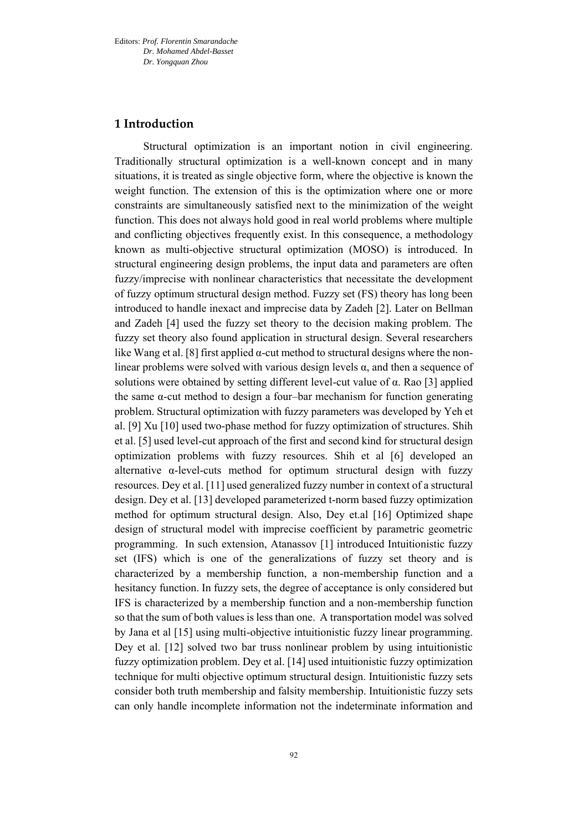Editors: *Prof. Florentin Smarandache Dr. Mohamed Abdel-Basset Dr. Yongquan Zhou*

# **1 Introduction**

Structural optimization is an important notion in civil engineering. Traditionally structural optimization is a well-known concept and in many situations, it is treated as single objective form, where the objective is known the weight function. The extension of this is the optimization where one or more constraints are simultaneously satisfied next to the minimization of the weight function. This does not always hold good in real world problems where multiple and conflicting objectives frequently exist. In this consequence, a methodology known as multi-objective structural optimization (MOSO) is introduced. In structural engineering design problems, the input data and parameters are often fuzzy/imprecise with nonlinear characteristics that necessitate the development of fuzzy optimum structural design method. Fuzzy set (FS) theory has long been introduced to handle inexact and imprecise data by Zadeh [2]. Later on Bellman and Zadeh [4] used the fuzzy set theory to the decision making problem. The fuzzy set theory also found application in structural design. Several researchers like Wang et al. [8] first applied  $\alpha$ -cut method to structural designs where the nonlinear problems were solved with various design levels  $\alpha$ , and then a sequence of solutions were obtained by setting different level-cut value of α. Rao [3] applied the same  $\alpha$ -cut method to design a four-bar mechanism for function generating problem. Structural optimization with fuzzy parameters was developed by Yeh et al. [9] Xu [10] used two-phase method for fuzzy optimization of structures. Shih et al. [5] used level-cut approach of the first and second kind for structural design optimization problems with fuzzy resources. Shih et al [6] developed an alternative α-level-cuts method for optimum structural design with fuzzy resources. Dey et al. [11] used generalized fuzzy number in context of a structural design. Dey et al. [13] developed parameterized t-norm based fuzzy optimization method for optimum structural design. Also, Dey et.al [16] Optimized shape design of structural model with imprecise coefficient by parametric geometric programming. In such extension, Atanassov [1] introduced Intuitionistic fuzzy set (IFS) which is one of the generalizations of fuzzy set theory and is characterized by a membership function, a non-membership function and a hesitancy function. In fuzzy sets, the degree of acceptance is only considered but IFS is characterized by a membership function and a non-membership function so that the sum of both values is less than one. A transportation model was solved by Jana et al [15] using multi-objective intuitionistic fuzzy linear programming. Dey et al. [12] solved two bar truss nonlinear problem by using intuitionistic fuzzy optimization problem. Dey et al. [14] used intuitionistic fuzzy optimization technique for multi objective optimum structural design. Intuitionistic fuzzy sets consider both truth membership and falsity membership. Intuitionistic fuzzy sets can only handle incomplete information not the indeterminate information and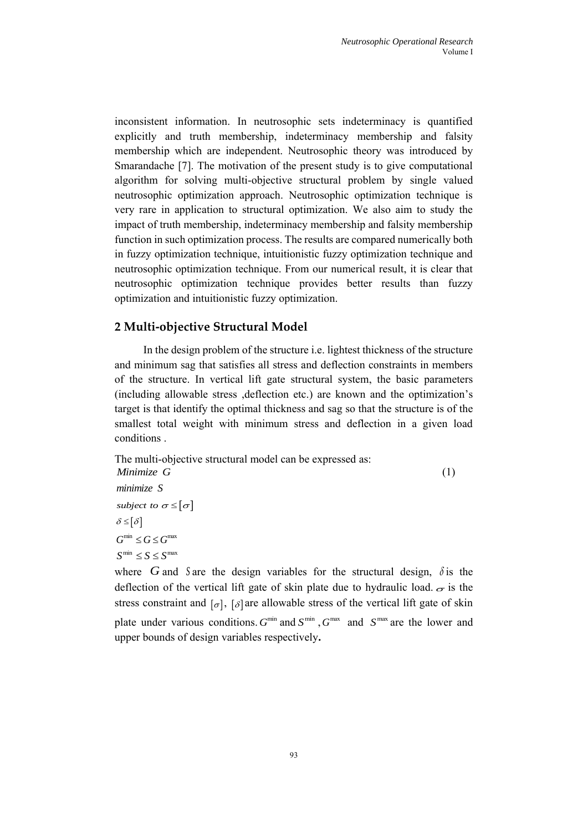inconsistent information. In neutrosophic sets indeterminacy is quantified explicitly and truth membership, indeterminacy membership and falsity membership which are independent. Neutrosophic theory was introduced by Smarandache [7]. The motivation of the present study is to give computational algorithm for solving multi-objective structural problem by single valued neutrosophic optimization approach. Neutrosophic optimization technique is very rare in application to structural optimization. We also aim to study the impact of truth membership, indeterminacy membership and falsity membership function in such optimization process. The results are compared numerically both in fuzzy optimization technique, intuitionistic fuzzy optimization technique and neutrosophic optimization technique. From our numerical result, it is clear that neutrosophic optimization technique provides better results than fuzzy optimization and intuitionistic fuzzy optimization.

# **2 Multi-objective Structural Model**

In the design problem of the structure i.e. lightest thickness of the structure and minimum sag that satisfies all stress and deflection constraints in members of the structure. In vertical lift gate structural system, the basic parameters (including allowable stress ,deflection etc.) are known and the optimization's target is that identify the optimal thickness and sag so that the structure is of the smallest total weight with minimum stress and deflection in a given load conditions .

The multi-objective structural model can be expressed as: *Minimize G* (1) *minimize S subject to*  $\sigma \leq [\sigma]$  $\delta \leq [\delta]$  $G^{\min} \leq G \leq G^{\max}$  $S^{\min} \leq S \leq S^{\max}$ where G and S are the design variables for the structural design,  $\delta$  is the deflection of the vertical lift gate of skin plate due to hydraulic load.  $\sigma$  is the stress constraint and  $[\sigma]$ ,  $[\delta]$  are allowable stress of the vertical lift gate of skin

plate under various conditions.  $G^{\min}$  and  $S^{\min}$ ,  $G^{\max}$  and  $S^{\max}$  are the lower and upper bounds of design variables respectively**.**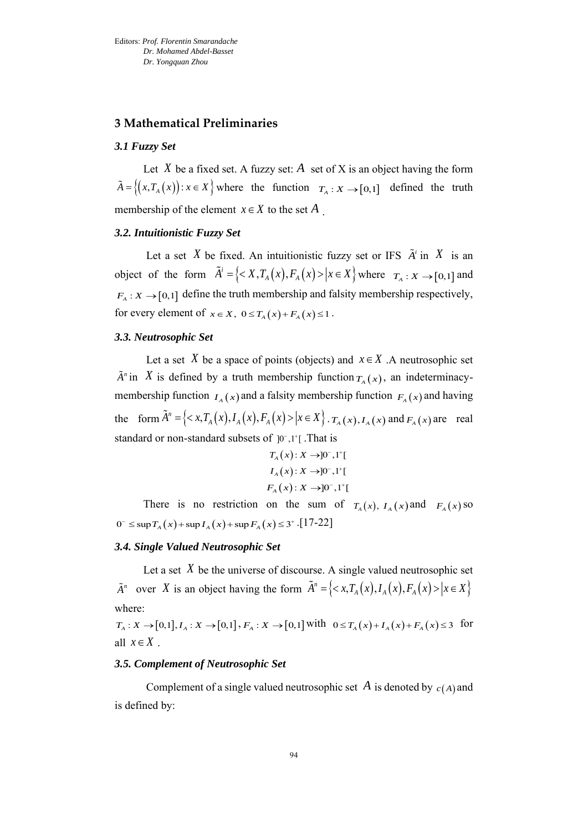#### **3 Mathematical Preliminaries**

#### *3.1 Fuzzy Set*

Let X be a fixed set. A fuzzy set: A set of X is an object having the form  $\tilde{A} = \left\{ (x, T_A(x)) : x \in X \right\}$  where the function  $T_A : X \to [0,1]$  defined the truth membership of the element  $x \in X$  to the set  $A$ .

#### *3.2. Intuitionistic Fuzzy Set*

Let a set X be fixed. An intuitionistic fuzzy set or IFS  $\tilde{A}^i$  in X is an Let a set A be fixed. An inditionistic fuzzy s<br>object of the form  $\tilde{A}^i = \{ \langle X, T_A(x), F_A(x) \rangle | x \in X \}$ .  $\tilde{A}^i = \left\{ \langle X, T_A(x), F_A(x) \rangle | x \in X \right\}$  where  $T_A: X \to [0,1]$  and  $F_A: X \to [0,1]$  define the truth membership and falsity membership respectively, for every element of  $x \in X$ ,  $0 \le T_A(x) + F_A(x) \le 1$ .

#### *3.3. Neutrosophic Set*

Let a set X be a space of points (objects) and  $x \in X$ . A neutrosophic set  $\tilde{A}^n$  in X is defined by a truth membership function  $T_A(x)$ , an indeterminacymembership function  $I_A(x)$  and a falsity membership function  $F_A(x)$  and having the form  $\tilde{A}^n = \{ \langle x, T_A(x), I_A(x), F_A(x) \rangle | x \in X \}$ . *n*  $\tilde{A}^n = \{ \langle x, T_A(x), I_A(x), F_A(x) \rangle | x \in X \}$ .  $T_A(x), T_A(x)$  and  $F_A(x)$  are real standard or non-standard subsets of  $]0^-,1^+]$ . That is

$$
T_A(x): X \rightarrow ]0^-, 1^+[
$$
  
\n
$$
I_A(x): X \rightarrow ]0^-, 1^+[
$$
  
\n
$$
F_A(x): X \rightarrow ]0^-, 1^+[
$$

There is no restriction on the sum of  $T_A(x)$ ,  $I_A(x)$  and  $F_A(x)$  so There is no restriction on the sum<br>  $0^- \le \sup T_A(x) + \sup I_A(x) + \sup F_A(x) \le 3^+$ .[17-22]

#### *3.4. Single Valued Neutrosophic Set*

Let a set  $X$  be the universe of discourse. A single valued neutrosophic set Let a set *X* be the universe of discourse. A single valued neutrosophic set  $\tilde{A}^n$  over *X* is an object having the form  $\tilde{A}^n = \{ \langle x, T_A(x), I_A(x), F_A(x) \rangle | x \in X \}$ *n*  $\tilde{A}^n = \{ \langle x, T_A(x), I_A(x), F_A(x) \rangle | x \in X \}$ where:

where:<br>  $T_A: X \to [0,1], I_A: X \to [0,1], F_A: X \to [0,1]$  with  $0 \le T_A(x) + I_A(x) + F_A(x) \le 3$  for all  $x \in X$ .

#### *3.5. Complement of Neutrosophic Set*

Complement of a single valued neutrosophic set  $A$  is denoted by  $c(A)$  and is defined by: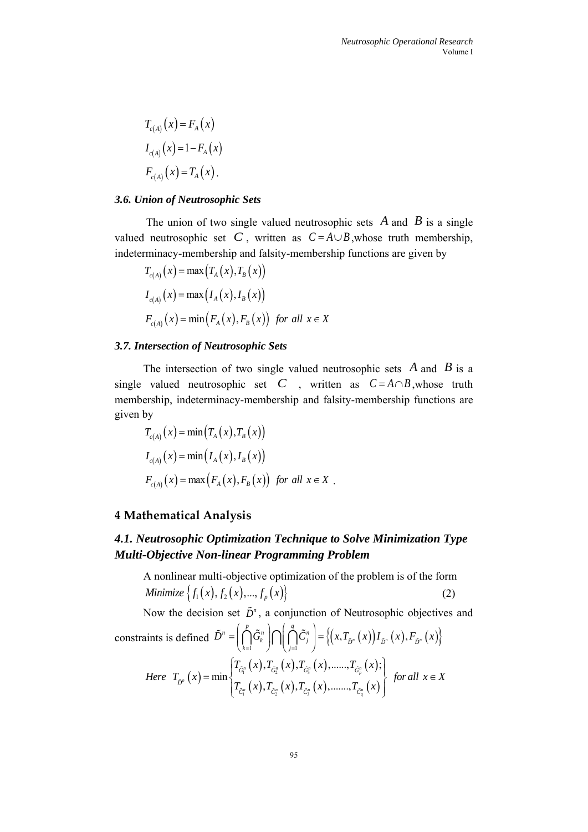$$
T_{c(A)}(x) = F_A(x)
$$
  
\n
$$
I_{c(A)}(x) = 1 - F_A(x)
$$
  
\n
$$
F_{c(A)}(x) = T_A(x).
$$

#### *3.6. Union of Neutrosophic Sets*

The union of two single valued neutrosophic sets  $A$  and  $B$  is a single valued neutrosophic set C, written as  $C = A \cup B$ , whose truth membership, indeterminacy-membership and falsity-membership functions are given by

$$
T_{c(A)}(x) = \max(T_A(x), T_B(x))
$$
  
\n
$$
I_{c(A)}(x) = \max(I_A(x), I_B(x))
$$
  
\n
$$
F_{c(A)}(x) = \min(F_A(x), F_B(x)) \text{ for all } x \in X
$$

#### *3.7. Intersection of Neutrosophic Sets*

The intersection of two single valued neutrosophic sets  $A$  and  $B$  is a single valued neutrosophic set C , written as  $C = A \cap B$ , whose truth membership, indeterminacy-membership and falsity-membership functions are given by

$$
T_{c(A)}(x) = \min(T_A(x), T_B(x))
$$
  
\n
$$
I_{c(A)}(x) = \min(I_A(x), I_B(x))
$$
  
\n
$$
F_{c(A)}(x) = \max(F_A(x), F_B(x)) \text{ for all } x \in X.
$$

#### **4 Mathematical Analysis**

# *4.1. Neutrosophic Optimization Technique to Solve Minimization Type Multi-Objective Non-linear Programming Problem*

A nonlinear multi-objective optimization of the problem is of the form A nonlinear multi-objective optimiza<br>*Minimize*  $\{f_1(x), f_2(x), ..., f_p(x)\}$ (2)

Now the decision set  $\tilde{D}^n$ , a conjunction of Neutrosophic objectives and

Now the decision set 
$$
\tilde{D}^n
$$
, a conjunction of Neutrosophic objectives and  
constraints is defined  $\tilde{D}^n = \left(\bigcap_{k=1}^n \tilde{G}_k^n \right) \cap \left(\bigcap_{j=1}^q \tilde{C}_j^n \right) = \left\{ (x, T_{\tilde{D}^n}(x)) I_{\tilde{D}^n}(x), F_{\tilde{D}^n}(x) \right\}$   
*Here*  $T_{\tilde{D}^n}(x) = \min \left\{ T_{\tilde{G}_1^n}(x), T_{\tilde{G}_2^n}(x), T_{\tilde{G}_3^n}(x), \dots, T_{\tilde{G}_q^n}(x) \right\}$  for all  $x \in X$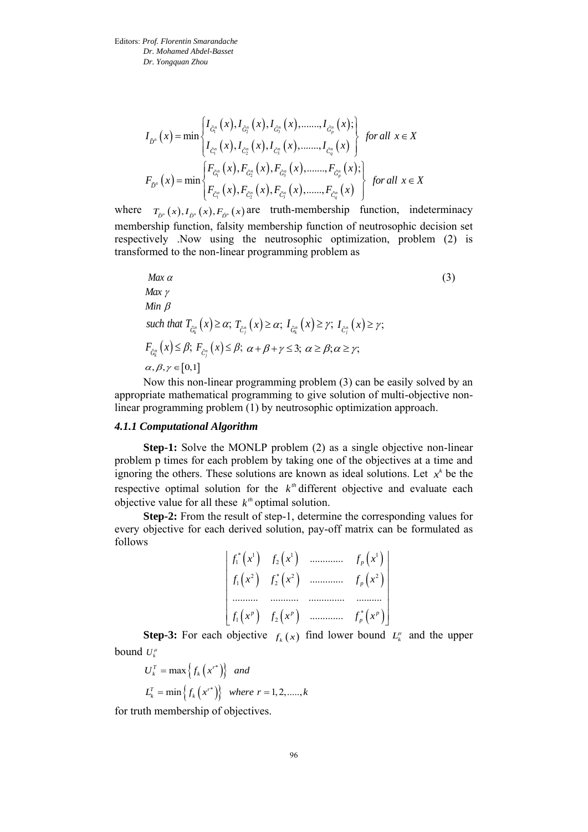$$
I_{\tilde{D}^{n}}(x) = \min \left\{ \begin{aligned} &I_{\tilde{G}_{1}^{n}}(x), I_{\tilde{G}_{2}^{n}}(x), I_{\tilde{G}_{3}^{n}}(x), \dots, I_{\tilde{G}_{p}^{n}}(x); \\ &I_{\tilde{G}_{1}^{n}}(x), I_{\tilde{G}_{2}^{n}}(x), I_{\tilde{G}_{3}^{n}}(x), \dots, I_{\tilde{G}_{q}^{n}}(x) \end{aligned} \right\} \text{ for all } x \in X
$$

$$
F_{\tilde{D}^{n}}(x) = \min \left\{ \begin{aligned} &F_{\tilde{G}_{1}^{n}}(x), F_{\tilde{G}_{2}^{n}}(x), F_{\tilde{G}_{3}^{n}}(x), \dots, F_{\tilde{G}_{p}^{n}}(x); \\ &F_{\tilde{G}_{1}^{n}}(x), F_{\tilde{G}_{2}^{n}}(x), F_{\tilde{G}_{3}^{n}}(x), \dots, F_{\tilde{G}_{q}^{n}}(x) \end{aligned} \right\} \text{ for all } x \in X
$$

where  $T_{\tilde{D}^n}(x)$ ,  $I_{\tilde{D}^n}(x)$ ,  $F_{\tilde{D}^n}(x)$  are truth-membership function, indeterminacy membership function, falsity membership function of neutrosophic decision set respectively .Now using the neutrosophic optimization, problem (2) is transformed to the non-linear programming problem as

$$
\begin{aligned}\n\text{Max } &\alpha & (3) \\
\text{Max } &\gamma & \text{Min } \beta \\
\text{such that } & T_{\hat{G}_{k}^{n}}(x) \geq \alpha; \ T_{\hat{C}_{j}^{n}}(x) \geq \alpha; \ I_{\hat{G}_{k}^{n}}(x) \geq \gamma; \ I_{\hat{C}_{j}^{n}}(x) \geq \gamma; \\
F_{\hat{G}_{k}^{n}}(x) \leq \beta; \ F_{\hat{C}_{j}^{n}}(x) \leq \beta; \ \alpha + \beta + \gamma \leq 3; \ \alpha \geq \beta; \alpha \geq \gamma; \\
\alpha, \beta, \gamma \in [0, 1] & \text{Min } \beta & \text{min } \beta & \text{min } \beta & \text{min } \beta & \text{min } \beta & \text{min } \beta & \text{min } \beta & \text{min } \beta & \text{min } \beta & \text{min } \beta & \text{min } \beta & \text{min } \beta & \text{min } \beta & \text{min } \beta & \text{min } \beta & \text{min } \beta & \text{min } \beta & \text{min } \beta & \text{min } \beta & \text{min } \beta & \text{min } \beta & \text{min } \beta & \text{min } \beta & \text{min } \beta & \text{min } \beta & \text{min } \beta & \text{min } \beta & \text{min } \beta & \text{min } \beta & \text{min } \beta & \text{min } \beta & \text{min } \beta & \text{min } \beta & \text{min } \beta & \text{min } \beta & \text{min } \beta & \text{min } \beta & \text{min } \beta & \text{min } \beta & \text{min } \beta & \text{min } \beta & \text{min } \beta & \text{min } \beta & \text{min } \beta & \text{min } \beta & \text{min } \beta & \text{min } \beta & \text{min } \beta & \text{min } \beta & \text{min } \beta & \text{min } \beta & \text{min } \beta & \text{min } \
$$

Now this non-linear programming problem (3) can be easily solved by an appropriate mathematical programming to give solution of multi-objective nonlinear programming problem (1) by neutrosophic optimization approach.

#### *4.1.1 Computational Algorithm*

**Step-1:** Solve the MONLP problem (2) as a single objective non-linear problem p times for each problem by taking one of the objectives at a time and ignoring the others. These solutions are known as ideal solutions. Let  $x<sup>k</sup>$  be the respective optimal solution for the  $k^h$  different objective and evaluate each objective value for all these  $k^{\text{th}}$  optimal solution.

**Step-2:** From the result of step-1, determine the corresponding values for every objective for each derived solution, pay-off matrix can be formulated as follows

|  |  | $\begin{bmatrix} f_1^*(x^1) & f_2(x^1) & \dots & f_p(x^1) \\ f_1(x^2) & f_2^*(x^2) & \dots & f_p(x^2) \\ \dots & \dots & \dots & \dots & f_p(x^2) \\ f_1(x^p) & f_2(x^p) & \dots & f_p^*(x^p) \end{bmatrix}$ |  |
|--|--|--------------------------------------------------------------------------------------------------------------------------------------------------------------------------------------------------------------|--|
|  |  |                                                                                                                                                                                                              |  |
|  |  |                                                                                                                                                                                                              |  |

**Step-3:** For each objective  $f_k(x)$  find lower bound  $L_k^{\mu}$  and the upper bound  $U_k^{\mu}$ 

$$
U_k^T = \max \left\{ f_k \left( x^{r^*} \right) \right\} \text{ and}
$$
  

$$
L_k^T = \min \left\{ f_k \left( x^{r^*} \right) \right\} \text{ where } r = 1, 2, \dots, k
$$

for truth membership of objectives.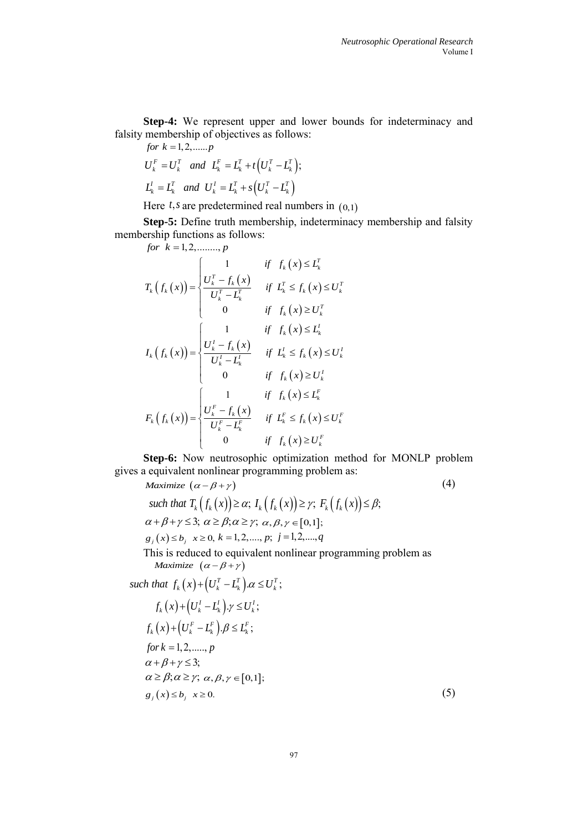**Step-4:** We represent upper and lower bounds for indeterminacy and falsity membership of objectives as follows:

for 
$$
k = 1, 2, \ldots, p
$$
  
\n $U_k^F = U_k^T$  and  $L_k^F = L_k^T + t(U_k^T - L_k^T);$   
\n $L_k^I = L_k^T$  and  $U_k^I = L_k^T + s(U_k^T - L_k^T)$ 

Here  $t$ , s are predetermined real numbers in  $(0,1)$ 

**Step-5:** Define truth membership, indeterminacy membership and falsity membership functions as follows:

$$
f \text{or } k = 1, 2, \dots, p
$$
\n
$$
T_k(f_k(x)) = \begin{cases}\n1 & \text{if } f_k(x) \le L_k^T \\
\frac{U_k^T - f_k(x)}{U_k^T - L_k^T} & \text{if } L_k^T \le f_k(x) \le U_k^T \\
0 & \text{if } f_k(x) \ge U_k^T\n\end{cases}
$$
\n
$$
I_k(f_k(x)) = \begin{cases}\n1 & \text{if } f_k(x) \le L_k^T \\
\frac{U_k^T - f_k(x)}{U_k^T - L_k^T} & \text{if } L_k^T \le f_k(x) \le U_k^T \\
0 & \text{if } f_k(x) \ge U_k^T\n\end{cases}
$$
\n
$$
F_k(f_k(x)) = \begin{cases}\n1 & \text{if } f_k(x) \le L_k^F \\
\frac{U_k^F - f_k(x)}{U_k^F - L_k^F} & \text{if } L_k^F \le f_k(x) \le U_k^F \\
0 & \text{if } f_k(x) \ge U_k^F\n\end{cases}
$$

**Step-6:** Now neutrosophic optimization method for MONLP problem gives a equivalent nonlinear programming problem as:<br>  $Maximize (\alpha - \beta + \gamma)$  $(4)$ 

Maximize 
$$
(\alpha - \beta + \gamma)
$$

\n(4)

\nsuch that  $T_k(f_k(x)) \geq \alpha$ ;  $I_k(f_k(x)) \geq \gamma$ ;  $F_k(f_k(x)) \leq \beta$ ;

\n $\alpha + \beta + \gamma \leq 3$ ;  $\alpha \geq \beta$ ;  $\alpha \geq \gamma$ ;  $\alpha, \beta, \gamma \in [0,1]$ ;

\n $g_j(x) \leq b_j \quad x \geq 0, k = 1, 2, \ldots, p; \quad j = 1, 2, \ldots, q$ 

\nThis is reduced to equivalent nonlinear programming problem as

\nMaximize  $(\alpha - \beta + \gamma)$ 

Maximize 
$$
(\alpha - \beta + \gamma)
$$
  
\nsuch that  $f_k(x) + (U_k^T - L_k^T) . \alpha \le U_k^T$ ;  
\n $f_k(x) + (U_k^T - L_k^T) . \gamma \le U_k^T$ ;  
\n $f_k(x) + (U_k^F - L_k^F) . \beta \le L_k^F$ ;  
\n $for k = 1, 2, ..., p$   
\n $\alpha + \beta + \gamma \le 3$ ;  
\n $\alpha \ge \beta; \alpha \ge \gamma; \ \alpha, \beta, \gamma \in [0, 1]$ ;  
\n $g_j(x) \le b_j \ x \ge 0$ . (5)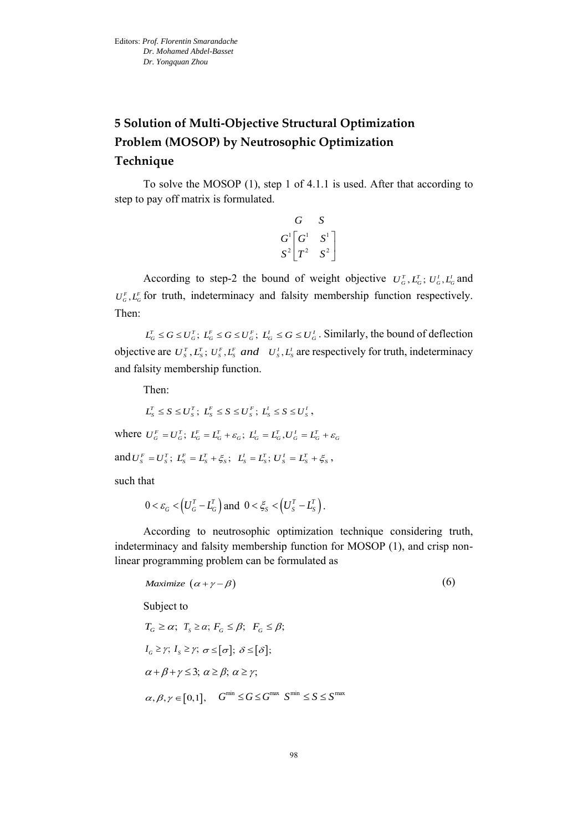# **5 Solution of Multi-Objective Structural Optimization Problem (MOSOP) by Neutrosophic Optimization Technique**

To solve the MOSOP (1), step 1 of 4.1.1 is used. After that according to step to pay off matrix is formulated.

$$
\begin{bmatrix} G & S \\ G^1 & S^1 \\ S^2 & T^2 & S^2 \end{bmatrix}
$$

According to step-2 the bound of weight objective  $U_G^T, L_G^T, U_G^T, L_G^T$  and  $U_{G}^{F}$ ,  $L_{G}^{F}$  for truth, indeterminacy and falsity membership function respectively. Then:

 $L_G^T \le G \le U_G^T$ ;  $L_G^F \le G \le U_G^F$ ;  $L_G^I \le G \le U_G^I$ . Similarly, the bound of deflection objective are  $U_s^T, L_s^T, U_s^F, L_s^F$  *and*  $U_s^T, L_s^T$  are respectively for truth, indeterminacy and falsity membership function.

Then:

 $L_S^T \le S \le U_S^T;$   $L_S^F \le S \le U_S^F;$   $L_S^I \le S \le U_S^I$ , where  $U_G^F = U_G^T$ ;  $L_G^F = L_G^T + \varepsilon_G$ ;  $L_G^I = L_G^T$ ,  $U_G^I = L_G^T + \varepsilon_G$  $\text{and } U_s^F = U_s^T; \ L_s^F = L_s^T + \xi_s; \ L_s^I = L_s^T; \ U_s^I = L_s^T + \xi_s,$ 

such that

$$
0 < \varepsilon_G < \left( U_G^T - L_G^T \right) \text{ and } 0 < \xi_S < \left( U_S^T - L_S^T \right).
$$

According to neutrosophic optimization technique considering truth, indeterminacy and falsity membership function for MOSOP (1), and crisp nonlinear programming problem can be formulated as

Maximize 
$$
(\alpha + \gamma - \beta)
$$
 (6)  
\nSubject to  
\n $T_G \geq \alpha$ ;  $T_S \geq \alpha$ ;  $F_G \leq \beta$ ;  $F_G \leq \beta$ ;  
\n $I_G \geq \gamma$ ;  $I_S \geq \gamma$ ;  $\sigma \leq [\sigma]$ ;  $\delta \leq [\delta]$ ;  
\n $\alpha + \beta + \gamma \leq 3$ ;  $\alpha \geq \beta$ ;  $\alpha \geq \gamma$ ;  
\n $\alpha, \beta, \gamma \in [0,1]$ ,  $G^{\min} \leq G \leq G^{\max} S^{\min} \leq S \leq S^{\max}$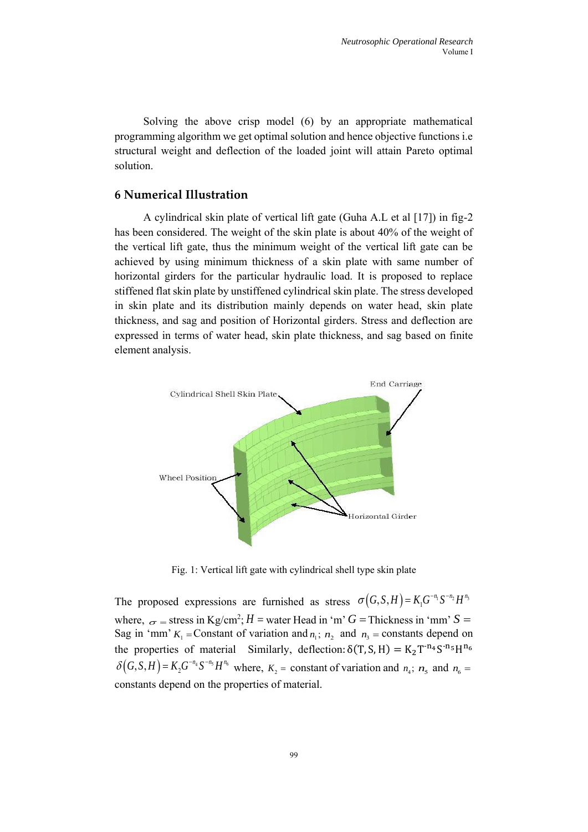Solving the above crisp model (6) by an appropriate mathematical programming algorithm we get optimal solution and hence objective functions i.e structural weight and deflection of the loaded joint will attain Pareto optimal solution.

# **6 Numerical Illustration**

A cylindrical skin plate of vertical lift gate (Guha A.L et al [17]) in fig-2 has been considered. The weight of the skin plate is about 40% of the weight of the vertical lift gate, thus the minimum weight of the vertical lift gate can be achieved by using minimum thickness of a skin plate with same number of horizontal girders for the particular hydraulic load. It is proposed to replace stiffened flat skin plate by unstiffened cylindrical skin plate. The stress developed in skin plate and its distribution mainly depends on water head, skin plate thickness, and sag and position of Horizontal girders. Stress and deflection are expressed in terms of water head, skin plate thickness, and sag based on finite element analysis.



Fig. 1: Vertical lift gate with cylindrical shell type skin plate

The proposed expressions are furnished as stress  $\sigma(G, S, H) = K_1 G^{-n_1} S^{-n_2} H^{n_3}$ where,  $\sigma$  = stress in Kg/cm<sup>2</sup>; *H* = water Head in 'm' *G* = Thickness in 'mm' *S* = Sag in 'mm'  $K_1$  = Constant of variation and  $n_1$ ;  $n_2$  and  $n_3$  = constants depend on the properties of material Similarly, deflection:  $\delta(T, S, H) = K_2 T^{-n_4} S^{-n_5} H^{n_6}$  $\delta(G, S, H) = K_2 G^{-n_4} S^{-n_5} H^{n_6}$  where,  $K_2$  = constant of variation and  $n_4$ ;  $n_5$  and  $n_6$  = constants depend on the properties of material.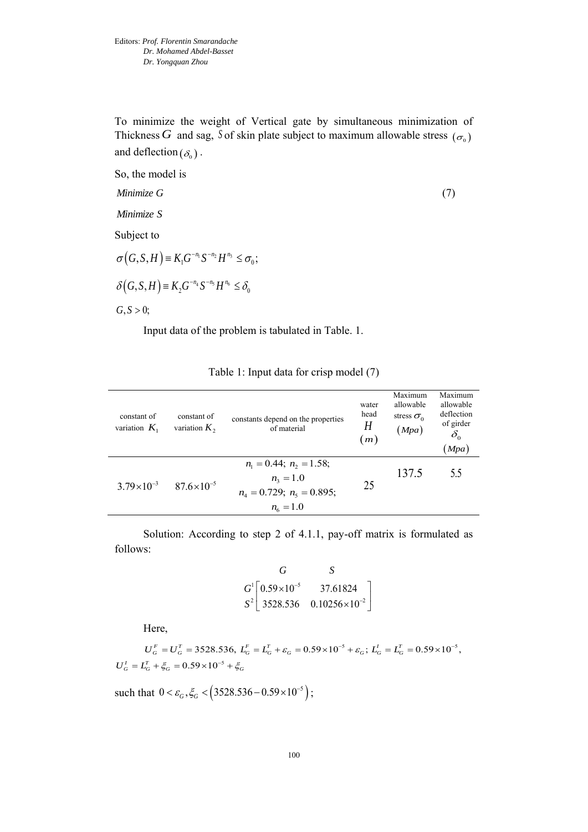To minimize the weight of Vertical gate by simultaneous minimization of Thickness  $G$  and sag,  $S$  of skin plate subject to maximum allowable stress  $(\sigma_0)$ and deflection  $(\delta_0)$ .

(7)

So, the model is

*Minimize G*

*Minimize S*

Subject to

 $\sigma(G, S, H) \equiv K_1 G^{-n_1} S^{-n_2} H^{n_3} \le \sigma_0;$ 

 $\delta(G, S, H) \equiv K_2 G^{-n_4} S^{-n_5} H^{n_6} \le \delta_0$ 

 $G, S > 0;$ 

Input data of the problem is tabulated in Table. 1.

| constant of<br>variation $K_1$ | constant of<br>variation $K_{\gamma}$ | constants depend on the properties<br>of material                                              | water<br>head<br>H<br>(m) | Maximum<br>allowable<br>stress $\sigma_{0}$<br>(Mpa) | Maximum<br>allowable<br>deflection<br>of girder<br>$\delta_{0}$<br>(Mpa) |
|--------------------------------|---------------------------------------|------------------------------------------------------------------------------------------------|---------------------------|------------------------------------------------------|--------------------------------------------------------------------------|
| $3.79\times10^{-3}$            | $87.6\times10^{-5}$                   | $n_1 = 0.44; n_2 = 1.58;$<br>$n_{3} = 1.0$<br>$n_4 = 0.729; n_5 = 0.895;$<br>$n_{\rm s} = 1.0$ | 25                        | 137.5                                                | 5.5                                                                      |

Table 1: Input data for crisp model (7)

Solution: According to step 2 of 4.1.1, pay-off matrix is formulated as follows:

$$
\begin{array}{cc}\n & G & S \\
G^1 \begin{bmatrix} 0.59 \times 10^{-5} & 37.61824 \\ 3528.536 & 0.10256 \times 10^{-2} \end{bmatrix}\n\end{array}
$$

Here,

 $U_G^F = U_G^T = 3528.536, L_G^F = L_G^T + \varepsilon_G = 0.59 \times 10^{-5} + \varepsilon_G$ ;  $L_G^I = L_G^T = 0.59 \times 10^{-5}$ ,  $U_G^I = L_G^T + \xi_G = 0.59 \times 10^{-5} + \xi_G$ 

such that  $0 < \varepsilon_G$ ,  $\xi_G <$  (3528.536 – 0.59×10<sup>-5</sup>)  $0 < \varepsilon_G$ ,  $\xi_G <$   $(3528.536 - 0.59 \times 10^{-5})$  $<\varepsilon_{G}, \xi_{G} < (3528.536 - 0.59 \times 10^{-5})$ ;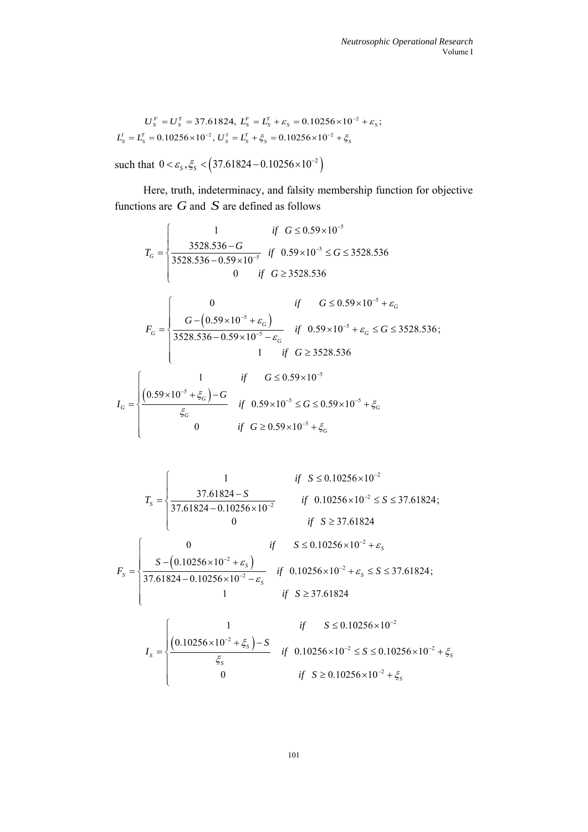$$
U_s^F = U_s^T = 37.61824, \ L_s^F = L_s^T + \varepsilon_s = 0.10256 \times 10^{-2} + \varepsilon_s;
$$
  

$$
L_s^I = L_s^T = 0.10256 \times 10^{-2}, \ U_s^I = L_s^T + \xi_s = 0.10256 \times 10^{-2} + \xi_s
$$

such that  $0 < \varepsilon_s$ ,  $\xi_s < (37.61824 - 0.10256 \times 10^{-2})$  $0 < \varepsilon_{s}$ ,  $\xi_{s} < (37.61824 - 0.10256 \times 10^{-2})$ - $<\varepsilon_{s}, \xi_{s} < (37.61824 - 0.10256 \times 10^{-2}$ 

Here, truth, indeterminacy, and falsity membership function for objective

functions are *G* and *S* are defined as follows  
\n
$$
T_G = \begin{cases}\n1 & \text{if } G \le 0.59 \times 10^{-5} \\
\frac{3528.536 - G}{3528.536 - 0.59 \times 10^{-5}} & \text{if } 0.59 \times 10^{-5} \le G \le 3528.536 \\
0 & \text{if } G \ge 3528.536\n\end{cases}
$$
\n
$$
F_G = \begin{cases}\n0 & \text{if } G \le 0.59 \times 10^{-5} + \varepsilon_G \\
\frac{G - (0.59 \times 10^{-5} + \varepsilon_G)}{3528.536 - 0.59 \times 10^{-5} - \varepsilon_G} & \text{if } 0.59 \times 10^{-5} + \varepsilon_G \le G \le 3528.536; \\
1 & \text{if } G \ge 3528.536\n\end{cases}
$$
\n
$$
I_G = \begin{cases}\n1 & \text{if } G \le 0.59 \times 10^{-5} \\
\frac{(0.59 \times 10^{-5} + \xi_G) - G}{\xi_G} & \text{if } 0.59 \times 10^{-5} \le G \le 0.59 \times 10^{-5} + \xi_G \\
0 & \text{if } G \ge 0.59 \times 10^{-5} + \xi_G\n\end{cases}
$$

$$
T_s = \begin{cases} 1 & \text{if } S \le 0.10256 \times 10^{-2} \\ \frac{37.61824 - S}{37.61824 - 0.10256 \times 10^{-2}} & \text{if } 0.10256 \times 10^{-2} \le S \le 37.61824; \\ 0 & \text{if } S \ge 37.61824 \end{cases}
$$
  

$$
F_s = \begin{cases} 0 & \text{if } S \le 0.10256 \times 10^{-2} + \varepsilon_s \\ \frac{S - (0.10256 \times 10^{-2} + \varepsilon_s)}{37.61824 - 0.10256 \times 10^{-2} - \varepsilon_s} & \text{if } 0.10256 \times 10^{-2} + \varepsilon_s \le S \le 37.61824; \\ 1 & \text{if } S \ge 37.61824 \end{cases}
$$
  

$$
I_s = \begin{cases} 1 & \text{if } S \le 0.10256 \times 10^{-2} \\ \frac{(0.10256 \times 10^{-2} + \xi_s) - S}{\xi_s} & \text{if } 0.10256 \times 10^{-2} \le S \le 0.10256 \times 10^{-2} + \xi_s \\ 0 & \text{if } S \ge 0.10256 \times 10^{-2} + \xi_s \end{cases}
$$

$$
f_{\rm{max}}
$$

2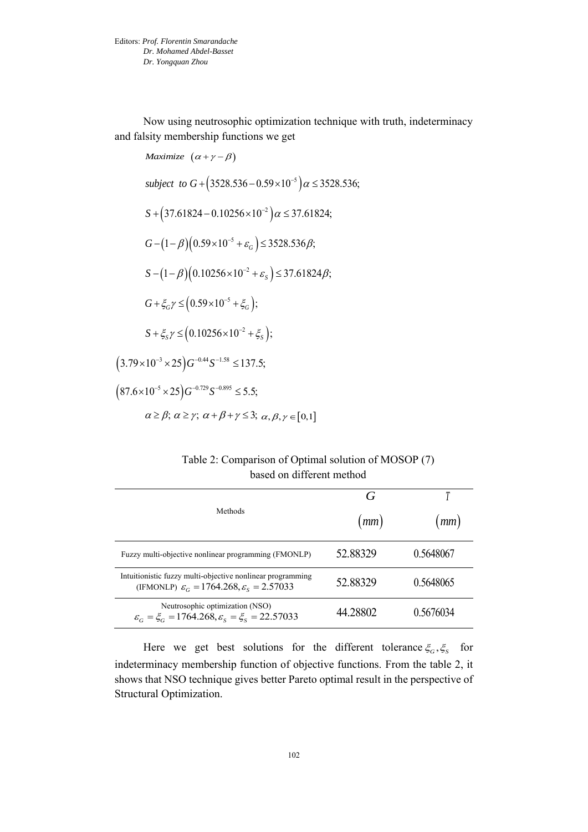Now using neutrosophic optimization technique with truth, indeterminacy and falsity membership functions we get

$$
\begin{aligned}\n\text{Maximize } & (\alpha + \gamma - \beta) \\
\text{subject to } G + \left(3528.536 - 0.59 \times 10^{-5}\right) \alpha \le 3528.536; \\
S + \left(37.61824 - 0.10256 \times 10^{-2}\right) \alpha \le 37.61824; \\
G - \left(1 - \beta\right) \left(0.59 \times 10^{-5} + \varepsilon_{\mathcal{G}}\right) \le 3528.536 \beta; \\
S - \left(1 - \beta\right) \left(0.10256 \times 10^{-2} + \varepsilon_{\mathcal{S}}\right) \le 37.61824 \beta; \\
G + \xi_{\mathcal{G}} \gamma \le \left(0.59 \times 10^{-5} + \xi_{\mathcal{G}}\right); \\
S + \xi_{\mathcal{S}} \gamma \le \left(0.10256 \times 10^{-2} + \xi_{\mathcal{S}}\right); \\
(3.79 \times 10^{-3} \times 25\right) G^{-0.44} S^{-1.58} \le 137.5; \\
(87.6 \times 10^{-5} \times 25\right) G^{-0.729} S^{-0.895} \le 5.5; \\
\alpha \ge \beta; \alpha \ge \gamma; \alpha + \beta + \gamma \le 3; \ \alpha, \beta, \gamma \in [0, 1]\n\end{aligned}
$$

|                                                                                                                             | G        |           |
|-----------------------------------------------------------------------------------------------------------------------------|----------|-----------|
| Methods                                                                                                                     | mm)      | mm)       |
| Fuzzy multi-objective nonlinear programming (FMONLP)                                                                        | 52.88329 | 0.5648067 |
| Intuitionistic fuzzy multi-objective nonlinear programming<br>(IFMONLP) $\varepsilon_c = 1764.268, \varepsilon_s = 2.57033$ | 52.88329 | 0.5648065 |
| Neutrosophic optimization (NSO)<br>$\varepsilon_G = \xi_G = 1764.268, \varepsilon_S = \xi_S = 22.57033$                     | 44.28802 | 0.5676034 |

Table 2: Comparison of Optimal solution of MOSOP (7) based on different method

Here we get best solutions for the different tolerance  $\xi_G$ ,  $\xi_S$  for indeterminacy membership function of objective functions. From the table 2, it shows that NSO technique gives better Pareto optimal result in the perspective of Structural Optimization.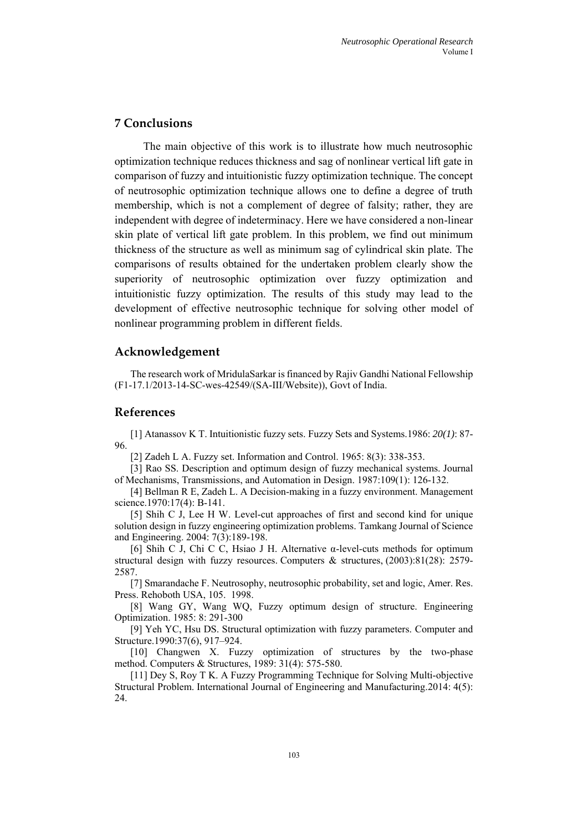# **7 Conclusions**

The main objective of this work is to illustrate how much neutrosophic optimization technique reduces thickness and sag of nonlinear vertical lift gate in comparison of fuzzy and intuitionistic fuzzy optimization technique. The concept of neutrosophic optimization technique allows one to define a degree of truth membership, which is not a complement of degree of falsity; rather, they are independent with degree of indeterminacy. Here we have considered a non-linear skin plate of vertical lift gate problem. In this problem, we find out minimum thickness of the structure as well as minimum sag of cylindrical skin plate. The comparisons of results obtained for the undertaken problem clearly show the superiority of neutrosophic optimization over fuzzy optimization and intuitionistic fuzzy optimization. The results of this study may lead to the development of effective neutrosophic technique for solving other model of nonlinear programming problem in different fields.

# **Acknowledgement**

The research work of MridulaSarkar is financed by Rajiv Gandhi National Fellowship (F1-17.1/2013-14-SC-wes-42549/(SA-III/Website)), Govt of India.

#### **References**

[1] Atanassov K T. Intuitionistic fuzzy sets. Fuzzy Sets and Systems.1986: *20(1)*: 87- 96.

[2] Zadeh L A. Fuzzy set. Information and Control. 1965: 8(3): 338-353.

[3] Rao SS. Description and optimum design of fuzzy mechanical systems. Journal of Mechanisms, Transmissions, and Automation in Design. 1987:109(1): 126-132.

[4] Bellman R E, Zadeh L. A Decision-making in a fuzzy environment. Management science.1970:17(4): B-141.

[5] Shih C J, Lee H W. Level-cut approaches of first and second kind for unique solution design in fuzzy engineering optimization problems. Tamkang Journal of Science and Engineering. 2004: 7(3):189-198.

[6] Shih C J, Chi C C, Hsiao J H. Alternative α-level-cuts methods for optimum structural design with fuzzy resources. Computers & structures, (2003):81(28): 2579- 2587.

[7] Smarandache F. Neutrosophy, neutrosophic probability, set and logic, Amer. Res. Press. Rehoboth USA, 105. 1998.

[8] Wang GY, Wang WQ, Fuzzy optimum design of structure. Engineering Optimization. 1985: 8: 291-300

[9] Yeh YC, Hsu DS. Structural optimization with fuzzy parameters. Computer and Structure.1990:37(6), 917–924.

[10] Changwen X. Fuzzy optimization of structures by the two-phase method. Computers & Structures, 1989: 31(4): 575-580.

[11] Dey S, Roy T K. A Fuzzy Programming Technique for Solving Multi-objective Structural Problem. International Journal of Engineering and Manufacturing.2014: 4(5): 24.